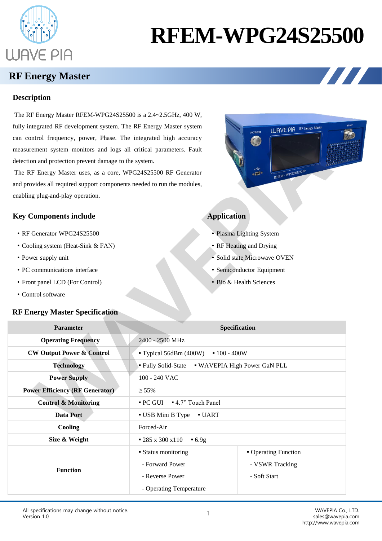

# **RFEM-WPG24S25500**

**POWEE**  $\bigcirc$ 

 $\sum_{i=1}^{n}$ 

**WAVE PIA** RF Energy Maste

 $\overbrace{\mathsf{RFEM}\text{-}\mathsf{WPG24S25250}}^{\mathsf{RFEM}-\mathsf{WPG24S25250}}$ 

 $\mathbf{Z}$ 

## **RF Energy Master**

#### **Description**

The RF Energy Master RFEM-WPG24S25500 is a 2.4~2.5GHz, 400 W, fully integrated RF development system. The RF Energy Master system can control frequency, power, Phase. The integrated high accuracy measurement system monitors and logs all critical parameters. Fault detection and protection prevent damage to the system.

The RF Energy Master uses, as a core, WPG24S25500 RF Generator and provides all required support components needed to run the modules, enabling plug-and-play operation.



- RF Generator WPG24S25500
- Cooling system (Heat-Sink & FAN)
- Power supply unit
- PC communications interface
- Front panel LCD (For Control)
- Control software

#### **RF Energy Master Specification**

### **Application**

- Plasma Lighting System
- RF Heating and Drying
- Solid state Microwave OVEN
- Semiconductor Equipment
- Bio & Health Sciences

| <b>Parameter</b>                       | Specification                                  |                      |
|----------------------------------------|------------------------------------------------|----------------------|
| <b>Operating Frequency</b>             | 2400 - 2500 MHz                                |                      |
| <b>CW Output Power &amp; Control</b>   | " Typical 56dBm $(400W)$ " $100 - 400W$        |                      |
| <b>Technology</b>                      | Fully Solid-State • WAVEPIA High Power GaN PLL |                      |
| <b>Power Supply</b>                    | 100 - 240 VAC                                  |                      |
| <b>Power Efficiency (RF Generator)</b> | $\geq 55\%$                                    |                      |
| <b>Control &amp; Monitoring</b>        | • PC GUI • 4.7" Touch Panel                    |                      |
| <b>Data Port</b>                       | • USB Mini B Type<br>$\blacksquare$ UART       |                      |
| Cooling                                | Forced-Air                                     |                      |
| Size & Weight                          | $-285 \times 300 \times 110$<br>$-6.9g$        |                      |
| <b>Function</b>                        | • Status monitoring                            | • Operating Function |
|                                        | - Forward Power                                | - VSWR Tracking      |
|                                        | - Reverse Power                                | - Soft Start         |
|                                        | - Operating Temperature                        |                      |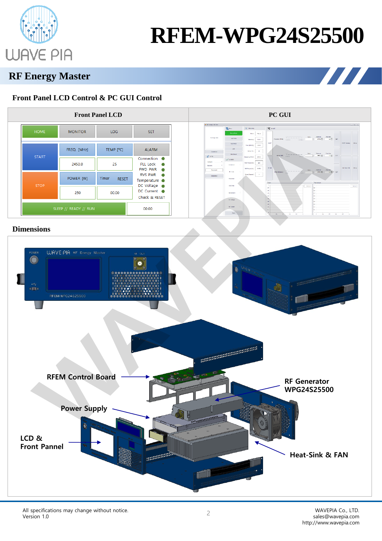

# **RFEM-WPG24S25500**

**THE REAL** 

## **RF Energy Master**

### **Front Panel LCD Control & PC GUI Control**